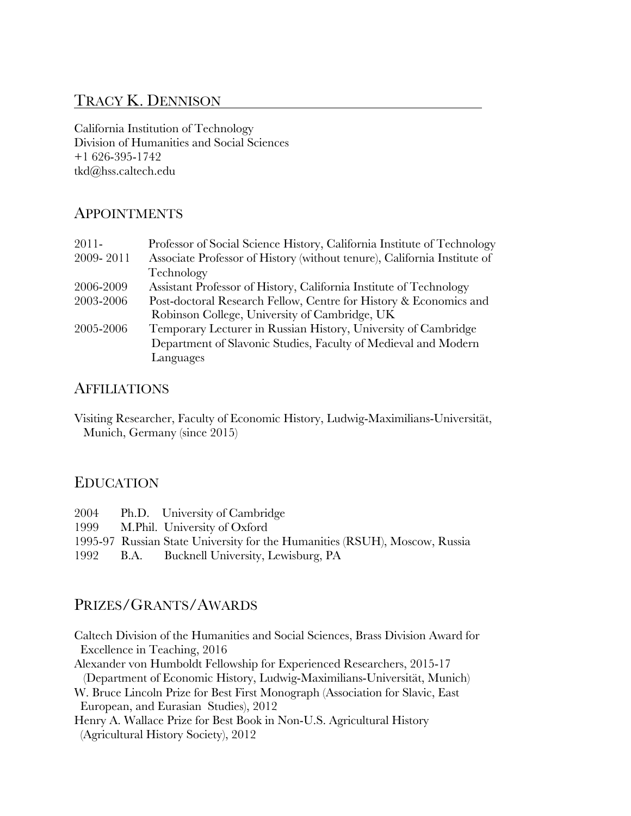# TRACY K. DENNISON

California Institution of Technology Division of Humanities and Social Sciences +1 626-395-1742 tkd@hss.caltech.edu

## APPOINTMENTS

| Professor of Social Science History, California Institute of Technology               |  |
|---------------------------------------------------------------------------------------|--|
| 2009-2011<br>Associate Professor of History (without tenure), California Institute of |  |
| Technology                                                                            |  |
| 2006-2009<br>Assistant Professor of History, California Institute of Technology       |  |
| 2003-2006<br>Post-doctoral Research Fellow, Centre for History & Economics and        |  |
| Robinson College, University of Cambridge, UK                                         |  |
| Temporary Lecturer in Russian History, University of Cambridge<br>2005-2006           |  |
| Department of Slavonic Studies, Faculty of Medieval and Modern                        |  |
| Languages                                                                             |  |

### **AFFILIATIONS**

Visiting Researcher, Faculty of Economic History, Ludwig-Maximilians-Universität, Munich, Germany (since 2015)

## EDUCATION

| 2004 | Ph.D. University of Cambridge                                              |
|------|----------------------------------------------------------------------------|
|      | 1999 M.Phil. University of Oxford                                          |
|      | 1995-97 Russian State University for the Humanities (RSUH), Moscow, Russia |
| 1992 | B.A. Bucknell University, Lewisburg, PA                                    |

# PRIZES/GRANTS/AWARDS

Caltech Division of the Humanities and Social Sciences, Brass Division Award for Excellence in Teaching, 2016

Alexander von Humboldt Fellowship for Experienced Researchers, 2015-17 (Department of Economic History, Ludwig-Maximilians-Universität, Munich)

W. Bruce Lincoln Prize for Best First Monograph (Association for Slavic, East European, and Eurasian Studies), 2012

Henry A. Wallace Prize for Best Book in Non-U.S. Agricultural History (Agricultural History Society), 2012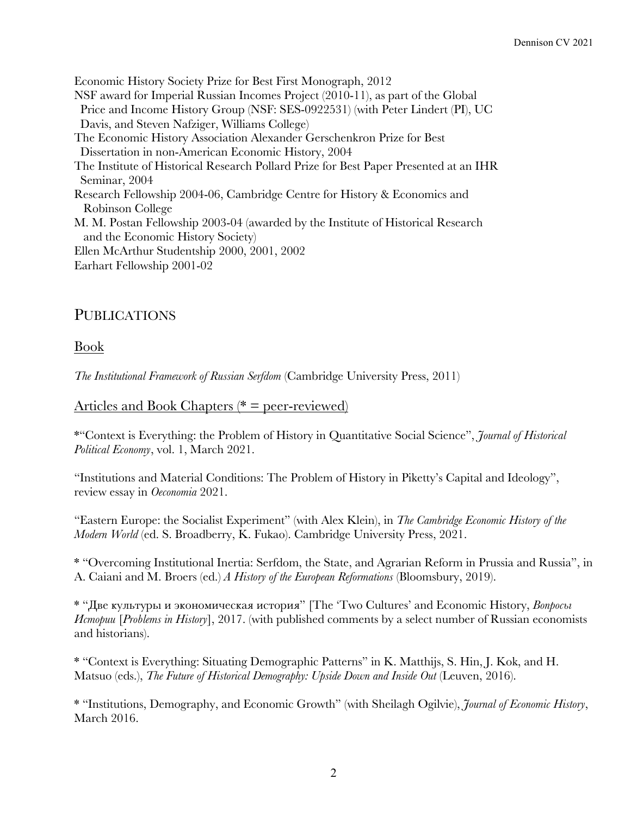Economic History Society Prize for Best First Monograph, 2012 NSF award for Imperial Russian Incomes Project (2010-11), as part of the Global Price and Income History Group (NSF: SES-0922531) (with Peter Lindert (PI), UC Davis, and Steven Nafziger, Williams College) The Economic History Association Alexander Gerschenkron Prize for Best Dissertation in non-American Economic History, 2004 The Institute of Historical Research Pollard Prize for Best Paper Presented at an IHR Seminar, 2004 Research Fellowship 2004-06, Cambridge Centre for History & Economics and Robinson College M. M. Postan Fellowship 2003-04 (awarded by the Institute of Historical Research and the Economic History Society) Ellen McArthur Studentship 2000, 2001, 2002 Earhart Fellowship 2001-02

# PUBLICATIONS

Book

*The Institutional Framework of Russian Serfdom* (Cambridge University Press, 2011)

# Articles and Book Chapters ( $* = peer-reviewed$ )

\*"Context is Everything: the Problem of History in Quantitative Social Science", *Journal of Historical Political Economy*, vol. 1, March 2021.

"Institutions and Material Conditions: The Problem of History in Piketty's Capital and Ideology", review essay in *Oeconomia* 2021.

"Eastern Europe: the Socialist Experiment" (with Alex Klein), in *The Cambridge Economic History of the Modern World* (ed. S. Broadberry, K. Fukao). Cambridge University Press, 2021.

\* "Overcoming Institutional Inertia: Serfdom, the State, and Agrarian Reform in Prussia and Russia", in A. Caiani and M. Broers (ed.) *A History of the European Reformations* (Bloomsbury, 2019).

\* "Две культуры и экономическая история" [The 'Two Cultures' and Economic History, *Вопросы Истории* [*Problems in History*], 2017. (with published comments by a select number of Russian economists and historians).

\* "Context is Everything: Situating Demographic Patterns" in K. Matthijs, S. Hin, J. Kok, and H. Matsuo (eds.), *The Future of Historical Demography: Upside Down and Inside Out* (Leuven, 2016).

\* "Institutions, Demography, and Economic Growth" (with Sheilagh Ogilvie), *Journal of Economic History*, March 2016.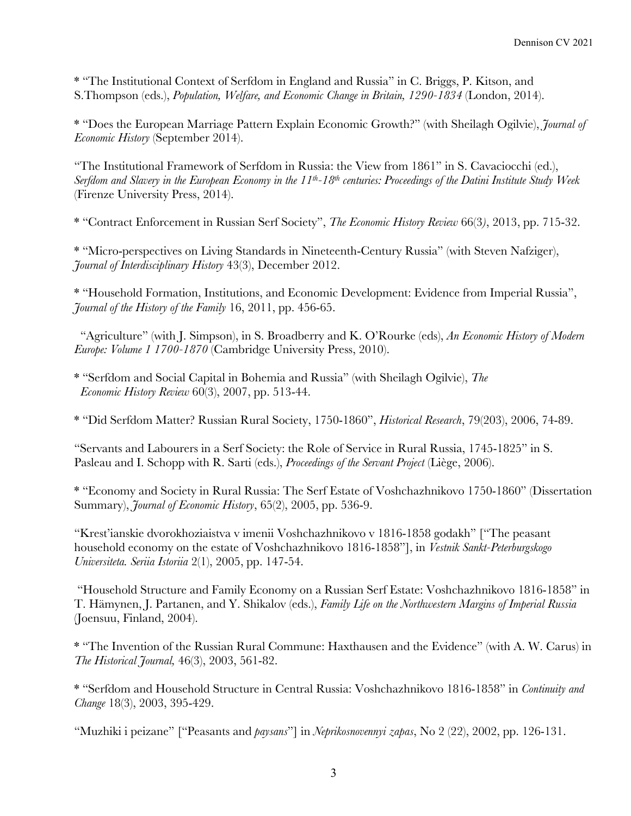\* "The Institutional Context of Serfdom in England and Russia" in C. Briggs, P. Kitson, and S.Thompson (eds.), *Population, Welfare, and Economic Change in Britain, 1290-1834* (London, 2014).

\* "Does the European Marriage Pattern Explain Economic Growth?" (with Sheilagh Ogilvie), *Journal of Economic History* (September 2014).

"The Institutional Framework of Serfdom in Russia: the View from 1861" in S. Cavaciocchi (ed.), *Serfdom and Slavery in the European Economy in the 11th-18th centuries: Proceedings of the Datini Institute Study Week* (Firenze University Press, 2014).

\* "Contract Enforcement in Russian Serf Society", *The Economic History Review* 66(3*)*, 2013, pp. 715-32.

\* "Micro-perspectives on Living Standards in Nineteenth-Century Russia" (with Steven Nafziger), *Journal of Interdisciplinary History* 43(3), December 2012.

\* "Household Formation, Institutions, and Economic Development: Evidence from Imperial Russia", *Journal of the History of the Family* 16, 2011, pp. 456-65.

 "Agriculture" (with J. Simpson), in S. Broadberry and K. O'Rourke (eds), *An Economic History of Modern Europe: Volume 1 1700-1870* (Cambridge University Press, 2010).

\* "Serfdom and Social Capital in Bohemia and Russia" (with Sheilagh Ogilvie), *The Economic History Review* 60(3), 2007, pp. 513-44.

\* "Did Serfdom Matter? Russian Rural Society, 1750-1860", *Historical Research*, 79(203), 2006, 74-89.

"Servants and Labourers in a Serf Society: the Role of Service in Rural Russia, 1745-1825" in S. Pasleau and I. Schopp with R. Sarti (eds.), *Proceedings of the Servant Project* (Liège, 2006).

\* "Economy and Society in Rural Russia: The Serf Estate of Voshchazhnikovo 1750-1860" (Dissertation Summary), *Journal of Economic History*, 65(2), 2005, pp. 536-9.

"Krest'ianskie dvorokhoziaistva v imenii Voshchazhnikovo v 1816-1858 godakh" ["The peasant household economy on the estate of Voshchazhnikovo 1816-1858"], in *Vestnik Sankt-Peterburgskogo Universiteta. Seriia Istoriia* 2(1), 2005, pp. 147-54.

"Household Structure and Family Economy on a Russian Serf Estate: Voshchazhnikovo 1816-1858" in T. Hämynen, J. Partanen, and Y. Shikalov (eds.), *Family Life on the Northwestern Margins of Imperial Russia* (Joensuu, Finland, 2004).

\* "The Invention of the Russian Rural Commune: Haxthausen and the Evidence" (with A. W. Carus) in *The Historical Journal,* 46(3), 2003, 561-82.

\* "Serfdom and Household Structure in Central Russia: Voshchazhnikovo 1816-1858" in *Continuity and Change* 18(3), 2003, 395-429.

"Muzhiki i peizane" ["Peasants and *paysans*"] in *Neprikosnovennyi zapas*, No 2 (22), 2002, pp. 126-131.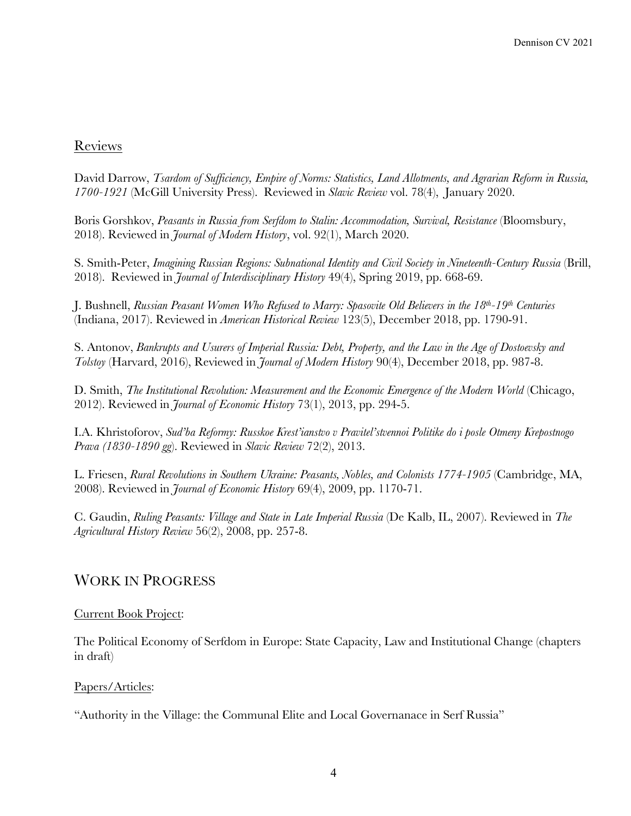#### Reviews

David Darrow, *Tsardom of Sufficiency, Empire of Norms: Statistics, Land Allotments, and Agrarian Reform in Russia, 1700-1921* (McGill University Press). Reviewed in *Slavic Review* vol. 78(4), January 2020.

Boris Gorshkov, *Peasants in Russia from Serfdom to Stalin: Accommodation, Survival, Resistance* (Bloomsbury, 2018). Reviewed in *Journal of Modern History*, vol. 92(1), March 2020.

S. Smith-Peter, *Imagining Russian Regions: Subnational Identity and Civil Society in Nineteenth-Century Russia* (Brill, 2018). Reviewed in *Journal of Interdisciplinary History* 49(4), Spring 2019, pp. 668-69.

J. Bushnell, *Russian Peasant Women Who Refused to Marry: Spasovite Old Believers in the 18th-19th Centuries* (Indiana, 2017). Reviewed in *American Historical Review* 123(5), December 2018, pp. 1790-91.

S. Antonov, *Bankrupts and Usurers of Imperial Russia: Debt, Property, and the Law in the Age of Dostoevsky and Tolstoy* (Harvard, 2016), Reviewed in *Journal of Modern History* 90(4), December 2018, pp. 987-8.

D. Smith, *The Institutional Revolution: Measurement and the Economic Emergence of the Modern World* (Chicago, 2012). Reviewed in *Journal of Economic History* 73(1), 2013, pp. 294-5.

I.A. Khristoforov, *Sud'ba Reformy: Russkoe Krest'ianstvo v Pravitel'stvennoi Politike do i posle Otmeny Krepostnogo Prava (1830-1890 gg*). Reviewed in *Slavic Review* 72(2), 2013.

L. Friesen, *Rural Revolutions in Southern Ukraine: Peasants, Nobles, and Colonists 1774-1905* (Cambridge, MA, 2008). Reviewed in *Journal of Economic History* 69(4), 2009, pp. 1170-71.

C. Gaudin, *Ruling Peasants: Village and State in Late Imperial Russia* (De Kalb, IL, 2007). Reviewed in *The Agricultural History Review* 56(2), 2008, pp. 257-8.

### WORK IN PROGRESS

#### Current Book Project:

The Political Economy of Serfdom in Europe: State Capacity, Law and Institutional Change (chapters in draft)

#### Papers/Articles:

"Authority in the Village: the Communal Elite and Local Governanace in Serf Russia"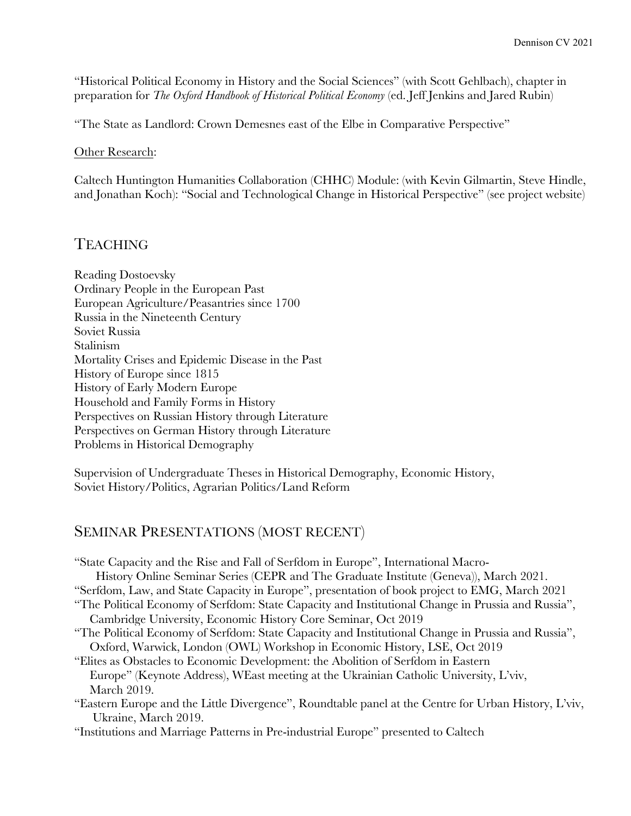"Historical Political Economy in History and the Social Sciences" (with Scott Gehlbach), chapter in preparation for *The Oxford Handbook of Historical Political Economy* (ed. Jeff Jenkins and Jared Rubin)

"The State as Landlord: Crown Demesnes east of the Elbe in Comparative Perspective"

#### Other Research:

Caltech Huntington Humanities Collaboration (CHHC) Module: (with Kevin Gilmartin, Steve Hindle, and Jonathan Koch): "Social and Technological Change in Historical Perspective" (see project website)

### TEACHING

Reading Dostoevsky Ordinary People in the European Past European Agriculture/Peasantries since 1700 Russia in the Nineteenth Century Soviet Russia Stalinism Mortality Crises and Epidemic Disease in the Past History of Europe since 1815 History of Early Modern Europe Household and Family Forms in History Perspectives on Russian History through Literature Perspectives on German History through Literature Problems in Historical Demography

Supervision of Undergraduate Theses in Historical Demography, Economic History, Soviet History/Politics, Agrarian Politics/Land Reform

### SEMINAR PRESENTATIONS (MOST RECENT)

"State Capacity and the Rise and Fall of Serfdom in Europe", International Macro- History Online Seminar Series (CEPR and The Graduate Institute (Geneva)), March 2021. "Serfdom, Law, and State Capacity in Europe", presentation of book project to EMG, March 2021 "The Political Economy of Serfdom: State Capacity and Institutional Change in Prussia and Russia", Cambridge University, Economic History Core Seminar, Oct 2019 "The Political Economy of Serfdom: State Capacity and Institutional Change in Prussia and Russia", Oxford, Warwick, London (OWL) Workshop in Economic History, LSE, Oct 2019 "Elites as Obstacles to Economic Development: the Abolition of Serfdom in Eastern Europe" (Keynote Address), WEast meeting at the Ukrainian Catholic University, L'viv, March 2019. "Eastern Europe and the Little Divergence", Roundtable panel at the Centre for Urban History, L'viv, Ukraine, March 2019. "Institutions and Marriage Patterns in Pre-industrial Europe" presented to Caltech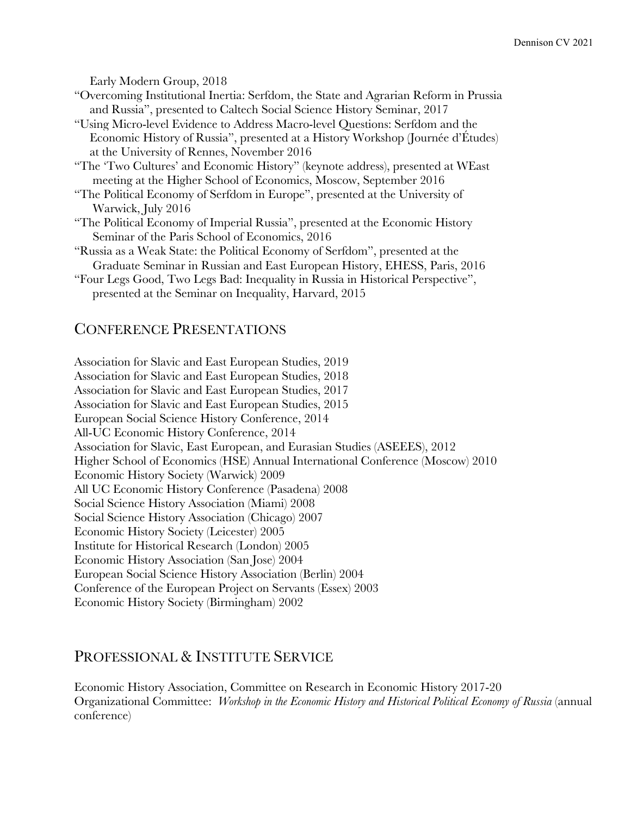Early Modern Group, 2018

- "Overcoming Institutional Inertia: Serfdom, the State and Agrarian Reform in Prussia and Russia", presented to Caltech Social Science History Seminar, 2017
- "Using Micro-level Evidence to Address Macro-level Questions: Serfdom and the Economic History of Russia", presented at a History Workshop (Journée d'Études) at the University of Rennes, November 2016
- "The 'Two Cultures' and Economic History" (keynote address), presented at WEast meeting at the Higher School of Economics, Moscow, September 2016
- "The Political Economy of Serfdom in Europe", presented at the University of Warwick, July 2016
- "The Political Economy of Imperial Russia", presented at the Economic History Seminar of the Paris School of Economics, 2016
- "Russia as a Weak State: the Political Economy of Serfdom", presented at the Graduate Seminar in Russian and East European History, EHESS, Paris, 2016
- "Four Legs Good, Two Legs Bad: Inequality in Russia in Historical Perspective", presented at the Seminar on Inequality, Harvard, 2015

### CONFERENCE PRESENTATIONS

Association for Slavic and East European Studies, 2019 Association for Slavic and East European Studies, 2018 Association for Slavic and East European Studies, 2017 Association for Slavic and East European Studies, 2015 European Social Science History Conference, 2014 All-UC Economic History Conference, 2014 Association for Slavic, East European, and Eurasian Studies (ASEEES), 2012 Higher School of Economics (HSE) Annual International Conference (Moscow) 2010 Economic History Society (Warwick) 2009 All UC Economic History Conference (Pasadena) 2008 Social Science History Association (Miami) 2008 Social Science History Association (Chicago) 2007 Economic History Society (Leicester) 2005 Institute for Historical Research (London) 2005 Economic History Association (San Jose) 2004 European Social Science History Association (Berlin) 2004 Conference of the European Project on Servants (Essex) 2003 Economic History Society (Birmingham) 2002

## PROFESSIONAL & INSTITUTE SERVICE

Economic History Association, Committee on Research in Economic History 2017-20 Organizational Committee: *Workshop in the Economic History and Historical Political Economy of Russia* (annual conference)